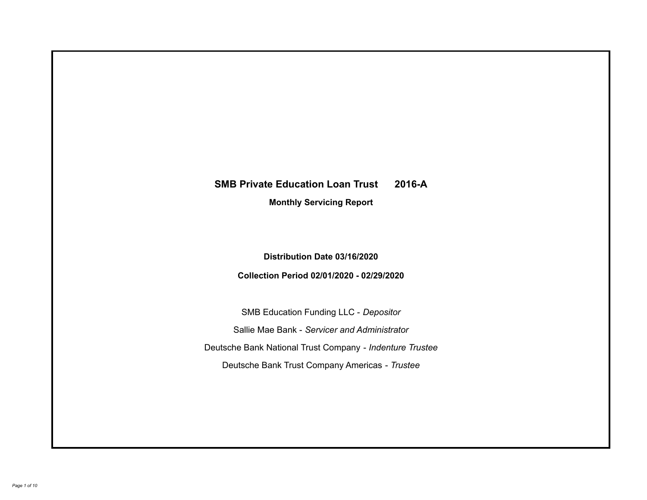# **SMB Private Education Loan Trust 2016-A Monthly Servicing Report**

## **Distribution Date 03/16/2020**

## **Collection Period 02/01/2020 - 02/29/2020**

SMB Education Funding LLC - *Depositor* Sallie Mae Bank - *Servicer and Administrator* Deutsche Bank National Trust Company - *Indenture Trustee* Deutsche Bank Trust Company Americas - *Trustee*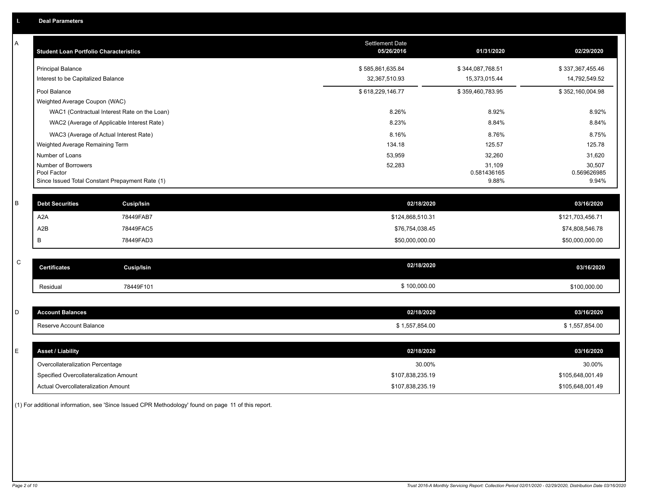| Α | <b>Student Loan Portfolio Characteristics</b>                  | <b>Settlement Date</b><br>05/26/2016 | 01/31/2020           | 02/29/2020           |
|---|----------------------------------------------------------------|--------------------------------------|----------------------|----------------------|
|   | <b>Principal Balance</b>                                       | \$585,861,635.84                     | \$344,087,768.51     | \$337,367,455.46     |
|   | Interest to be Capitalized Balance                             | 32,367,510.93                        | 15,373,015.44        | 14,792,549.52        |
|   | Pool Balance                                                   | \$618,229,146.77                     | \$359,460,783.95     | \$352,160,004.98     |
|   | Weighted Average Coupon (WAC)                                  |                                      |                      |                      |
|   | WAC1 (Contractual Interest Rate on the Loan)                   | 8.26%                                | 8.92%                | 8.92%                |
|   | WAC2 (Average of Applicable Interest Rate)                     | 8.23%                                | 8.84%                | 8.84%                |
|   | WAC3 (Average of Actual Interest Rate)                         | 8.16%                                | 8.76%                | 8.75%                |
|   | Weighted Average Remaining Term                                | 134.18                               | 125.57               | 125.78               |
|   | Number of Loans                                                | 53,959                               | 32,260               | 31,620               |
|   | Number of Borrowers                                            | 52,283                               | 31,109               | 30,507               |
|   | Pool Factor<br>Since Issued Total Constant Prepayment Rate (1) |                                      | 0.581436165<br>9.88% | 0.569626985<br>9.94% |
|   |                                                                |                                      |                      |                      |
| B | <b>Debt Securities</b><br><b>Cusip/Isin</b>                    | 02/18/2020                           |                      | 03/16/2020           |
|   | A <sub>2</sub> A<br>78449FAB7                                  | \$124,868,510.31                     |                      | \$121,703,456.71     |
|   | A <sub>2</sub> B<br>78449FAC5                                  | \$76,754,038.45                      |                      | \$74,808,546.78      |
|   | B<br>78449FAD3                                                 | \$50,000,000.00                      |                      | \$50,000,000.00      |
|   |                                                                |                                      |                      |                      |
| C | <b>Certificates</b><br>Cusip/Isin                              | 02/18/2020                           |                      | 03/16/2020           |
|   | 78449F101<br>Residual                                          | \$100,000.00                         |                      | \$100,000.00         |
|   |                                                                |                                      |                      |                      |
| D | <b>Account Balances</b>                                        | 02/18/2020                           |                      | 03/16/2020           |
|   | Reserve Account Balance                                        | \$1,557,854.00                       |                      | \$1,557,854.00       |
|   |                                                                |                                      |                      |                      |
| E | <b>Asset / Liability</b>                                       | 02/18/2020                           |                      | 03/16/2020           |
|   | Overcollateralization Percentage                               | 30.00%                               |                      | 30.00%               |
|   | Specified Overcollateralization Amount                         | \$107,838,235.19                     |                      | \$105,648,001.49     |
|   | Actual Overcollateralization Amount                            | \$107,838,235.19                     |                      | \$105,648,001.49     |

(1) For additional information, see 'Since Issued CPR Methodology' found on page 11 of this report.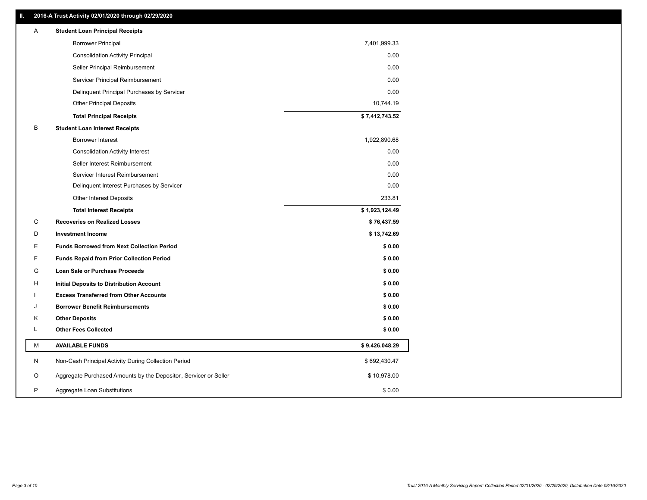## **II. 2016-A Trust Activity 02/01/2020 through 02/29/2020**

| <b>Borrower Principal</b><br>7,401,999.33<br>0.00<br><b>Consolidation Activity Principal</b><br>Seller Principal Reimbursement<br>0.00<br>Servicer Principal Reimbursement<br>0.00<br>Delinquent Principal Purchases by Servicer<br>0.00<br>10,744.19<br><b>Other Principal Deposits</b><br>\$7,412,743.52<br><b>Total Principal Receipts</b><br>B<br><b>Student Loan Interest Receipts</b><br>Borrower Interest<br>1,922,890.68<br>0.00<br><b>Consolidation Activity Interest</b><br>Seller Interest Reimbursement<br>0.00<br>0.00<br>Servicer Interest Reimbursement<br>0.00<br>Delinquent Interest Purchases by Servicer<br>233.81<br><b>Other Interest Deposits</b><br><b>Total Interest Receipts</b><br>\$1,923,124.49<br>С<br><b>Recoveries on Realized Losses</b><br>\$76,437.59<br>\$13,742.69<br>D<br><b>Investment Income</b><br>Е<br><b>Funds Borrowed from Next Collection Period</b><br>\$0.00<br>F<br>\$0.00<br><b>Funds Repaid from Prior Collection Period</b><br>G<br>\$0.00<br><b>Loan Sale or Purchase Proceeds</b><br>\$0.00<br>н<br>Initial Deposits to Distribution Account<br><b>Excess Transferred from Other Accounts</b><br>\$0.00<br>\$0.00<br><b>Borrower Benefit Reimbursements</b><br>J<br><b>Other Deposits</b><br>\$0.00<br>Κ<br><b>Other Fees Collected</b><br>L<br>\$0.00<br>М<br><b>AVAILABLE FUNDS</b><br>\$9,426,048.29<br>N<br>Non-Cash Principal Activity During Collection Period<br>\$692,430.47<br>Aggregate Purchased Amounts by the Depositor, Servicer or Seller<br>O<br>\$10,978.00<br>P<br>Aggregate Loan Substitutions<br>\$0.00 | Α | <b>Student Loan Principal Receipts</b> |  |
|----------------------------------------------------------------------------------------------------------------------------------------------------------------------------------------------------------------------------------------------------------------------------------------------------------------------------------------------------------------------------------------------------------------------------------------------------------------------------------------------------------------------------------------------------------------------------------------------------------------------------------------------------------------------------------------------------------------------------------------------------------------------------------------------------------------------------------------------------------------------------------------------------------------------------------------------------------------------------------------------------------------------------------------------------------------------------------------------------------------------------------------------------------------------------------------------------------------------------------------------------------------------------------------------------------------------------------------------------------------------------------------------------------------------------------------------------------------------------------------------------------------------------------------------------------------------------------|---|----------------------------------------|--|
|                                                                                                                                                                                                                                                                                                                                                                                                                                                                                                                                                                                                                                                                                                                                                                                                                                                                                                                                                                                                                                                                                                                                                                                                                                                                                                                                                                                                                                                                                                                                                                                  |   |                                        |  |
|                                                                                                                                                                                                                                                                                                                                                                                                                                                                                                                                                                                                                                                                                                                                                                                                                                                                                                                                                                                                                                                                                                                                                                                                                                                                                                                                                                                                                                                                                                                                                                                  |   |                                        |  |
|                                                                                                                                                                                                                                                                                                                                                                                                                                                                                                                                                                                                                                                                                                                                                                                                                                                                                                                                                                                                                                                                                                                                                                                                                                                                                                                                                                                                                                                                                                                                                                                  |   |                                        |  |
|                                                                                                                                                                                                                                                                                                                                                                                                                                                                                                                                                                                                                                                                                                                                                                                                                                                                                                                                                                                                                                                                                                                                                                                                                                                                                                                                                                                                                                                                                                                                                                                  |   |                                        |  |
|                                                                                                                                                                                                                                                                                                                                                                                                                                                                                                                                                                                                                                                                                                                                                                                                                                                                                                                                                                                                                                                                                                                                                                                                                                                                                                                                                                                                                                                                                                                                                                                  |   |                                        |  |
|                                                                                                                                                                                                                                                                                                                                                                                                                                                                                                                                                                                                                                                                                                                                                                                                                                                                                                                                                                                                                                                                                                                                                                                                                                                                                                                                                                                                                                                                                                                                                                                  |   |                                        |  |
|                                                                                                                                                                                                                                                                                                                                                                                                                                                                                                                                                                                                                                                                                                                                                                                                                                                                                                                                                                                                                                                                                                                                                                                                                                                                                                                                                                                                                                                                                                                                                                                  |   |                                        |  |
|                                                                                                                                                                                                                                                                                                                                                                                                                                                                                                                                                                                                                                                                                                                                                                                                                                                                                                                                                                                                                                                                                                                                                                                                                                                                                                                                                                                                                                                                                                                                                                                  |   |                                        |  |
|                                                                                                                                                                                                                                                                                                                                                                                                                                                                                                                                                                                                                                                                                                                                                                                                                                                                                                                                                                                                                                                                                                                                                                                                                                                                                                                                                                                                                                                                                                                                                                                  |   |                                        |  |
|                                                                                                                                                                                                                                                                                                                                                                                                                                                                                                                                                                                                                                                                                                                                                                                                                                                                                                                                                                                                                                                                                                                                                                                                                                                                                                                                                                                                                                                                                                                                                                                  |   |                                        |  |
|                                                                                                                                                                                                                                                                                                                                                                                                                                                                                                                                                                                                                                                                                                                                                                                                                                                                                                                                                                                                                                                                                                                                                                                                                                                                                                                                                                                                                                                                                                                                                                                  |   |                                        |  |
|                                                                                                                                                                                                                                                                                                                                                                                                                                                                                                                                                                                                                                                                                                                                                                                                                                                                                                                                                                                                                                                                                                                                                                                                                                                                                                                                                                                                                                                                                                                                                                                  |   |                                        |  |
|                                                                                                                                                                                                                                                                                                                                                                                                                                                                                                                                                                                                                                                                                                                                                                                                                                                                                                                                                                                                                                                                                                                                                                                                                                                                                                                                                                                                                                                                                                                                                                                  |   |                                        |  |
|                                                                                                                                                                                                                                                                                                                                                                                                                                                                                                                                                                                                                                                                                                                                                                                                                                                                                                                                                                                                                                                                                                                                                                                                                                                                                                                                                                                                                                                                                                                                                                                  |   |                                        |  |
|                                                                                                                                                                                                                                                                                                                                                                                                                                                                                                                                                                                                                                                                                                                                                                                                                                                                                                                                                                                                                                                                                                                                                                                                                                                                                                                                                                                                                                                                                                                                                                                  |   |                                        |  |
|                                                                                                                                                                                                                                                                                                                                                                                                                                                                                                                                                                                                                                                                                                                                                                                                                                                                                                                                                                                                                                                                                                                                                                                                                                                                                                                                                                                                                                                                                                                                                                                  |   |                                        |  |
|                                                                                                                                                                                                                                                                                                                                                                                                                                                                                                                                                                                                                                                                                                                                                                                                                                                                                                                                                                                                                                                                                                                                                                                                                                                                                                                                                                                                                                                                                                                                                                                  |   |                                        |  |
|                                                                                                                                                                                                                                                                                                                                                                                                                                                                                                                                                                                                                                                                                                                                                                                                                                                                                                                                                                                                                                                                                                                                                                                                                                                                                                                                                                                                                                                                                                                                                                                  |   |                                        |  |
|                                                                                                                                                                                                                                                                                                                                                                                                                                                                                                                                                                                                                                                                                                                                                                                                                                                                                                                                                                                                                                                                                                                                                                                                                                                                                                                                                                                                                                                                                                                                                                                  |   |                                        |  |
|                                                                                                                                                                                                                                                                                                                                                                                                                                                                                                                                                                                                                                                                                                                                                                                                                                                                                                                                                                                                                                                                                                                                                                                                                                                                                                                                                                                                                                                                                                                                                                                  |   |                                        |  |
|                                                                                                                                                                                                                                                                                                                                                                                                                                                                                                                                                                                                                                                                                                                                                                                                                                                                                                                                                                                                                                                                                                                                                                                                                                                                                                                                                                                                                                                                                                                                                                                  |   |                                        |  |
|                                                                                                                                                                                                                                                                                                                                                                                                                                                                                                                                                                                                                                                                                                                                                                                                                                                                                                                                                                                                                                                                                                                                                                                                                                                                                                                                                                                                                                                                                                                                                                                  |   |                                        |  |
|                                                                                                                                                                                                                                                                                                                                                                                                                                                                                                                                                                                                                                                                                                                                                                                                                                                                                                                                                                                                                                                                                                                                                                                                                                                                                                                                                                                                                                                                                                                                                                                  |   |                                        |  |
|                                                                                                                                                                                                                                                                                                                                                                                                                                                                                                                                                                                                                                                                                                                                                                                                                                                                                                                                                                                                                                                                                                                                                                                                                                                                                                                                                                                                                                                                                                                                                                                  |   |                                        |  |
|                                                                                                                                                                                                                                                                                                                                                                                                                                                                                                                                                                                                                                                                                                                                                                                                                                                                                                                                                                                                                                                                                                                                                                                                                                                                                                                                                                                                                                                                                                                                                                                  |   |                                        |  |
|                                                                                                                                                                                                                                                                                                                                                                                                                                                                                                                                                                                                                                                                                                                                                                                                                                                                                                                                                                                                                                                                                                                                                                                                                                                                                                                                                                                                                                                                                                                                                                                  |   |                                        |  |
|                                                                                                                                                                                                                                                                                                                                                                                                                                                                                                                                                                                                                                                                                                                                                                                                                                                                                                                                                                                                                                                                                                                                                                                                                                                                                                                                                                                                                                                                                                                                                                                  |   |                                        |  |
|                                                                                                                                                                                                                                                                                                                                                                                                                                                                                                                                                                                                                                                                                                                                                                                                                                                                                                                                                                                                                                                                                                                                                                                                                                                                                                                                                                                                                                                                                                                                                                                  |   |                                        |  |
|                                                                                                                                                                                                                                                                                                                                                                                                                                                                                                                                                                                                                                                                                                                                                                                                                                                                                                                                                                                                                                                                                                                                                                                                                                                                                                                                                                                                                                                                                                                                                                                  |   |                                        |  |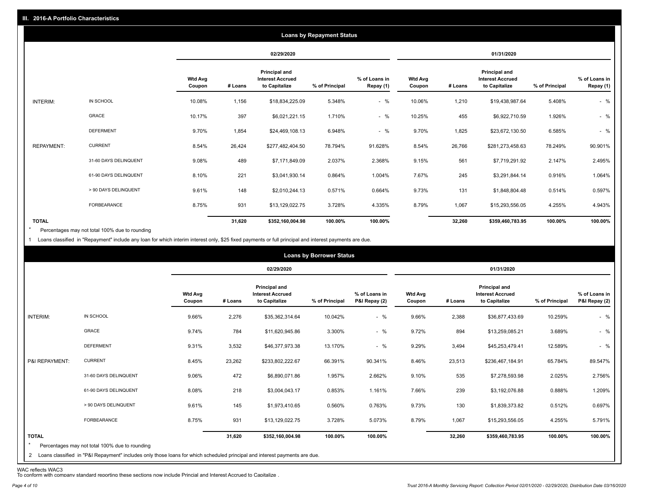|                   |                       |                          |            |                                                                  | <b>Loans by Repayment Status</b> |                            |                          |         |                                                                  |                |                            |
|-------------------|-----------------------|--------------------------|------------|------------------------------------------------------------------|----------------------------------|----------------------------|--------------------------|---------|------------------------------------------------------------------|----------------|----------------------------|
|                   |                       |                          | 02/29/2020 |                                                                  |                                  | 01/31/2020                 |                          |         |                                                                  |                |                            |
|                   |                       | <b>Wtd Avg</b><br>Coupon | # Loans    | <b>Principal and</b><br><b>Interest Accrued</b><br>to Capitalize | % of Principal                   | % of Loans in<br>Repay (1) | <b>Wtd Avg</b><br>Coupon | # Loans | <b>Principal and</b><br><b>Interest Accrued</b><br>to Capitalize | % of Principal | % of Loans in<br>Repay (1) |
| INTERIM:          | IN SCHOOL             | 10.08%                   | 1,156      | \$18,834,225.09                                                  | 5.348%                           | $-$ %                      | 10.06%                   | 1,210   | \$19,438,987.64                                                  | 5.408%         | $-$ %                      |
|                   | GRACE                 | 10.17%                   | 397        | \$6,021,221.15                                                   | 1.710%                           | $-$ %                      | 10.25%                   | 455     | \$6,922,710.59                                                   | 1.926%         | $-$ %                      |
|                   | <b>DEFERMENT</b>      | 9.70%                    | 1,854      | \$24,469,108.13                                                  | 6.948%                           | $-$ %                      | 9.70%                    | 1,825   | \$23,672,130.50                                                  | 6.585%         | $-$ %                      |
| <b>REPAYMENT:</b> | <b>CURRENT</b>        | 8.54%                    | 26,424     | \$277,482,404.50                                                 | 78.794%                          | 91.628%                    | 8.54%                    | 26,766  | \$281,273,458.63                                                 | 78.249%        | 90.901%                    |
|                   | 31-60 DAYS DELINQUENT | 9.08%                    | 489        | \$7,171,849.09                                                   | 2.037%                           | 2.368%                     | 9.15%                    | 561     | \$7,719,291.92                                                   | 2.147%         | 2.495%                     |
|                   | 61-90 DAYS DELINQUENT | 8.10%                    | 221        | \$3,041,930.14                                                   | 0.864%                           | 1.004%                     | 7.67%                    | 245     | \$3,291,844.14                                                   | 0.916%         | 1.064%                     |
|                   | > 90 DAYS DELINQUENT  | 9.61%                    | 148        | \$2,010,244.13                                                   | 0.571%                           | 0.664%                     | 9.73%                    | 131     | \$1,848,804.48                                                   | 0.514%         | 0.597%                     |
|                   | FORBEARANCE           | 8.75%                    | 931        | \$13,129,022.75                                                  | 3.728%                           | 4.335%                     | 8.79%                    | 1,067   | \$15,293,556.05                                                  | 4.255%         | 4.943%                     |
| <b>TOTAL</b>      |                       |                          | 31,620     | \$352,160,004.98                                                 | 100.00%                          | 100.00%                    |                          | 32,260  | \$359,460,783.95                                                 | 100.00%        | 100.00%                    |

Percentages may not total 100% due to rounding \*

1 Loans classified in "Repayment" include any loan for which interim interest only, \$25 fixed payments or full principal and interest payments are due.

| <b>Loans by Borrower Status</b> |                                                                                                                                                                                |                          |         |                                                                  |                |                                |                          |         |                                                           |                |                                |
|---------------------------------|--------------------------------------------------------------------------------------------------------------------------------------------------------------------------------|--------------------------|---------|------------------------------------------------------------------|----------------|--------------------------------|--------------------------|---------|-----------------------------------------------------------|----------------|--------------------------------|
|                                 |                                                                                                                                                                                |                          |         | 02/29/2020                                                       |                |                                | 01/31/2020               |         |                                                           |                |                                |
|                                 |                                                                                                                                                                                | <b>Wtd Avg</b><br>Coupon | # Loans | <b>Principal and</b><br><b>Interest Accrued</b><br>to Capitalize | % of Principal | % of Loans in<br>P&I Repay (2) | <b>Wtd Avg</b><br>Coupon | # Loans | Principal and<br><b>Interest Accrued</b><br>to Capitalize | % of Principal | % of Loans in<br>P&I Repay (2) |
| INTERIM:                        | IN SCHOOL                                                                                                                                                                      | 9.66%                    | 2,276   | \$35,362,314.64                                                  | 10.042%        | $-$ %                          | 9.66%                    | 2,388   | \$36,877,433.69                                           | 10.259%        | $-$ %                          |
|                                 | GRACE                                                                                                                                                                          | 9.74%                    | 784     | \$11,620,945.86                                                  | 3.300%         | $-$ %                          | 9.72%                    | 894     | \$13,259,085.21                                           | 3.689%         | $-$ %                          |
|                                 | <b>DEFERMENT</b>                                                                                                                                                               | 9.31%                    | 3,532   | \$46,377,973.38                                                  | 13.170%        | $-$ %                          | 9.29%                    | 3,494   | \$45,253,479.41                                           | 12.589%        | $-$ %                          |
| P&I REPAYMENT:                  | <b>CURRENT</b>                                                                                                                                                                 | 8.45%                    | 23,262  | \$233,802,222.67                                                 | 66.391%        | 90.341%                        | 8.46%                    | 23,513  | \$236,467,184.91                                          | 65.784%        | 89.547%                        |
|                                 | 31-60 DAYS DELINQUENT                                                                                                                                                          | 9.06%                    | 472     | \$6,890,071.86                                                   | 1.957%         | 2.662%                         | 9.10%                    | 535     | \$7,278,593.98                                            | 2.025%         | 2.756%                         |
|                                 | 61-90 DAYS DELINQUENT                                                                                                                                                          | 8.08%                    | 218     | \$3,004,043.17                                                   | 0.853%         | 1.161%                         | 7.66%                    | 239     | \$3,192,076.88                                            | 0.888%         | 1.209%                         |
|                                 | > 90 DAYS DELINQUENT                                                                                                                                                           | 9.61%                    | 145     | \$1,973,410.65                                                   | 0.560%         | 0.763%                         | 9.73%                    | 130     | \$1,839,373.82                                            | 0.512%         | 0.697%                         |
|                                 | FORBEARANCE                                                                                                                                                                    | 8.75%                    | 931     | \$13,129,022.75                                                  | 3.728%         | 5.073%                         | 8.79%                    | 1,067   | \$15,293,556.05                                           | 4.255%         | 5.791%                         |
| <b>TOTAL</b><br>$\star$         | Percentages may not total 100% due to rounding<br>2 Loans classified in "P&I Repayment" includes only those loans for which scheduled principal and interest payments are due. |                          | 31,620  | \$352,160,004.98                                                 | 100.00%        | 100.00%                        |                          | 32,260  | \$359,460,783.95                                          | 100.00%        | 100.00%                        |

WAC reflects WAC3 To conform with company standard reporting these sections now include Princial and Interest Accrued to Capitalize .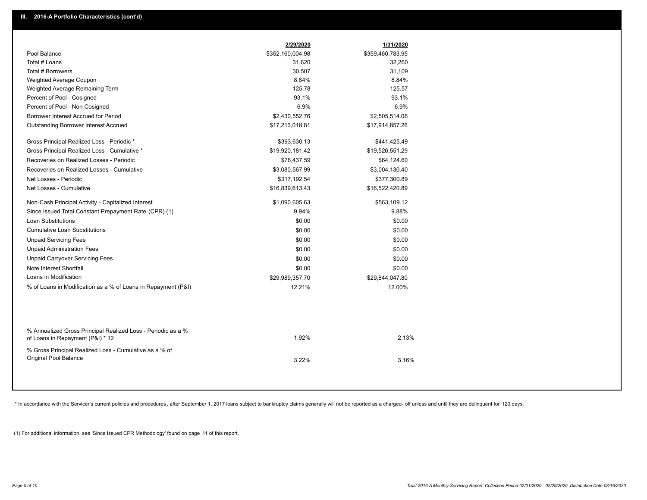| Pool Balance                                                                                     | \$352,160,004.98 | \$359,460,783.95 |  |
|--------------------------------------------------------------------------------------------------|------------------|------------------|--|
|                                                                                                  |                  |                  |  |
| Total # Loans                                                                                    | 31,620           | 32,260           |  |
| Total # Borrowers                                                                                | 30,507           | 31,109           |  |
| Weighted Average Coupon                                                                          | 8.84%            | 8.84%            |  |
| Weighted Average Remaining Term                                                                  | 125.78           | 125.57           |  |
| Percent of Pool - Cosigned                                                                       | 93.1%            | 93.1%            |  |
| Percent of Pool - Non Cosigned                                                                   | 6.9%             | 6.9%             |  |
| Borrower Interest Accrued for Period                                                             | \$2,430,552.76   | \$2,505,514.06   |  |
| Outstanding Borrower Interest Accrued                                                            | \$17,213,018.81  | \$17,914,857.26  |  |
| Gross Principal Realized Loss - Periodic *                                                       | \$393,630.13     | \$441,425.49     |  |
| Gross Principal Realized Loss - Cumulative *                                                     | \$19,920,181.42  | \$19,526,551.29  |  |
| Recoveries on Realized Losses - Periodic                                                         | \$76,437.59      | \$64,124.60      |  |
| Recoveries on Realized Losses - Cumulative                                                       | \$3,080,567.99   | \$3,004,130.40   |  |
| Net Losses - Periodic                                                                            | \$317,192.54     | \$377,300.89     |  |
| Net Losses - Cumulative                                                                          | \$16,839,613.43  | \$16,522,420.89  |  |
| Non-Cash Principal Activity - Capitalized Interest                                               | \$1,090,605.63   | \$563,109.12     |  |
| Since Issued Total Constant Prepayment Rate (CPR) (1)                                            | 9.94%            | 9.88%            |  |
| <b>Loan Substitutions</b>                                                                        | \$0.00           | \$0.00           |  |
| <b>Cumulative Loan Substitutions</b>                                                             | \$0.00           | \$0.00           |  |
| <b>Unpaid Servicing Fees</b>                                                                     | \$0.00           | \$0.00           |  |
| <b>Unpaid Administration Fees</b>                                                                | \$0.00           | \$0.00           |  |
| <b>Unpaid Carryover Servicing Fees</b>                                                           | \$0.00           | \$0.00           |  |
| Note Interest Shortfall                                                                          | \$0.00           | \$0.00           |  |
| Loans in Modification                                                                            | \$29,989,357.70  | \$29,844,047.80  |  |
| % of Loans in Modification as a % of Loans in Repayment (P&I)                                    | 12.21%           | 12.00%           |  |
|                                                                                                  |                  |                  |  |
| % Annualized Gross Principal Realized Loss - Periodic as a %<br>of Loans in Repayment (P&I) * 12 | 1.92%            | 2.13%            |  |
| % Gross Principal Realized Loss - Cumulative as a % of<br>Original Pool Balance                  | 3.22%            | 3.16%            |  |

\* In accordance with the Servicer's current policies and procedures, after September 1, 2017 loans subject to bankruptcy claims generally will not be reported as a charged- off unless and until they are delinquent for 120

(1) For additional information, see 'Since Issued CPR Methodology' found on page 11 of this report.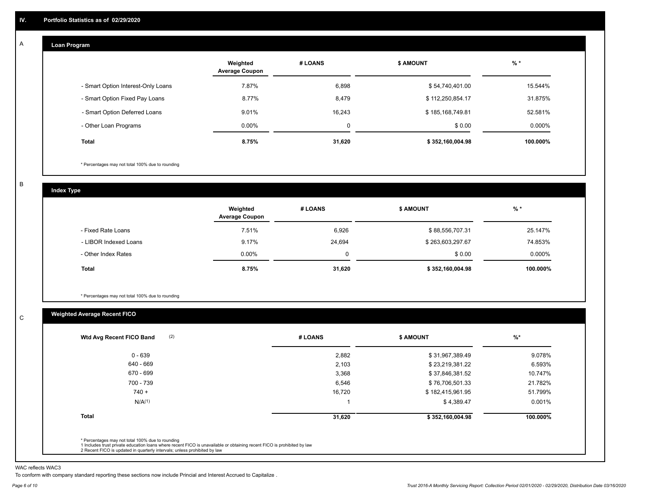#### **Loan Program**  A

|                                    | Weighted<br><b>Average Coupon</b> | # LOANS | <b>\$ AMOUNT</b> | $%$ *    |
|------------------------------------|-----------------------------------|---------|------------------|----------|
| - Smart Option Interest-Only Loans | 7.87%                             | 6,898   | \$54,740,401.00  | 15.544%  |
| - Smart Option Fixed Pay Loans     | 8.77%                             | 8,479   | \$112,250,854.17 | 31.875%  |
| - Smart Option Deferred Loans      | 9.01%                             | 16.243  | \$185,168,749.81 | 52.581%  |
| - Other Loan Programs              | $0.00\%$                          | 0       | \$0.00           | 0.000%   |
| <b>Total</b>                       | 8.75%                             | 31,620  | \$352,160,004.98 | 100.000% |

\* Percentages may not total 100% due to rounding

B

C

**Index Type**

|                       | Weighted<br><b>Average Coupon</b> | # LOANS     | <b>\$ AMOUNT</b> | $%$ *     |
|-----------------------|-----------------------------------|-------------|------------------|-----------|
| - Fixed Rate Loans    | 7.51%                             | 6,926       | \$88,556,707.31  | 25.147%   |
| - LIBOR Indexed Loans | 9.17%                             | 24,694      | \$263,603,297.67 | 74.853%   |
| - Other Index Rates   | $0.00\%$                          | $\mathbf 0$ | \$0.00           | $0.000\%$ |
| Total                 | 8.75%                             | 31,620      | \$352,160,004.98 | 100.000%  |

\* Percentages may not total 100% due to rounding

## **Weighted Average Recent FICO**

| $0 - 639$<br>640 - 669<br>670 - 699 | 2,882<br>2,103 | \$31,967,389.49<br>\$23,219,381.22 | 9.078%<br>6.593% |
|-------------------------------------|----------------|------------------------------------|------------------|
|                                     |                |                                    |                  |
|                                     |                |                                    |                  |
|                                     | 3,368          | \$37,846,381.52                    | 10.747%          |
| 700 - 739                           | 6,546          | \$76,706,501.33                    | 21.782%          |
| $740 +$                             | 16,720         | \$182,415,961.95                   | 51.799%          |
| N/A <sup>(1)</sup>                  |                | \$4,389.47                         | 0.001%           |
| <b>Total</b>                        | 31,620         | \$352,160,004.98                   | 100.000%         |

WAC reflects WAC3

To conform with company standard reporting these sections now include Princial and Interest Accrued to Capitalize .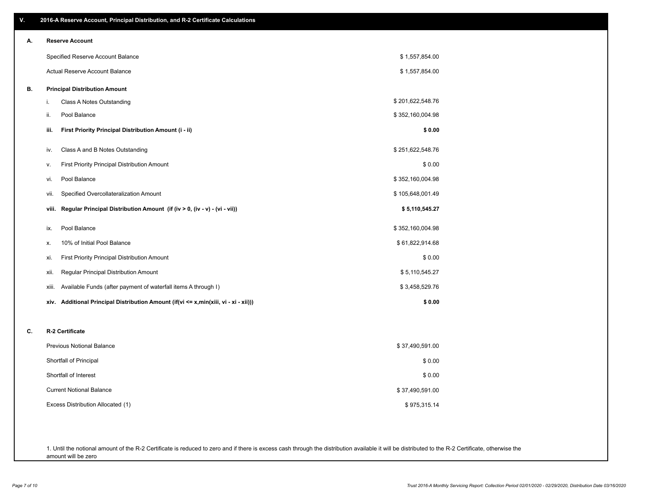| V. | 2016-A Reserve Account, Principal Distribution, and R-2 Certificate Calculations        |                  |
|----|-----------------------------------------------------------------------------------------|------------------|
| А. | <b>Reserve Account</b>                                                                  |                  |
|    | Specified Reserve Account Balance                                                       | \$1,557,854.00   |
|    | Actual Reserve Account Balance                                                          | \$1,557,854.00   |
| В. | <b>Principal Distribution Amount</b>                                                    |                  |
|    | Class A Notes Outstanding<br>i.                                                         | \$201,622,548.76 |
|    | Pool Balance<br>ii.                                                                     | \$352,160,004.98 |
|    | First Priority Principal Distribution Amount (i - ii)<br>iii.                           | \$0.00           |
|    | Class A and B Notes Outstanding<br>iv.                                                  | \$251,622,548.76 |
|    | First Priority Principal Distribution Amount<br>۷.                                      | \$0.00           |
|    | Pool Balance<br>vi.                                                                     | \$352,160,004.98 |
|    | Specified Overcollateralization Amount<br>vii.                                          | \$105,648,001.49 |
|    | Regular Principal Distribution Amount (if (iv > 0, (iv - v) - (vi - vii))<br>viii.      | \$5,110,545.27   |
|    | Pool Balance<br>ix.                                                                     | \$352,160,004.98 |
|    | 10% of Initial Pool Balance<br>х.                                                       | \$61,822,914.68  |
|    | First Priority Principal Distribution Amount<br>xi.                                     | \$0.00           |
|    | Regular Principal Distribution Amount<br>xii.                                           | \$5,110,545.27   |
|    | Available Funds (after payment of waterfall items A through I)<br>xiii.                 | \$3,458,529.76   |
|    | Additional Principal Distribution Amount (if(vi <= x,min(xiii, vi - xi - xii)))<br>xiv. | \$0.00           |
| C. | R-2 Certificate                                                                         |                  |
|    | <b>Previous Notional Balance</b>                                                        | \$37,490,591.00  |
|    | Shortfall of Principal                                                                  | \$0.00           |
|    | Shortfall of Interest                                                                   | \$0.00           |
|    | <b>Current Notional Balance</b>                                                         | \$37,490,591.00  |
|    | Excess Distribution Allocated (1)                                                       | \$975,315.14     |
|    |                                                                                         |                  |
|    |                                                                                         |                  |

1. Until the notional amount of the R-2 Certificate is reduced to zero and if there is excess cash through the distribution available it will be distributed to the R-2 Certificate, otherwise the amount will be zero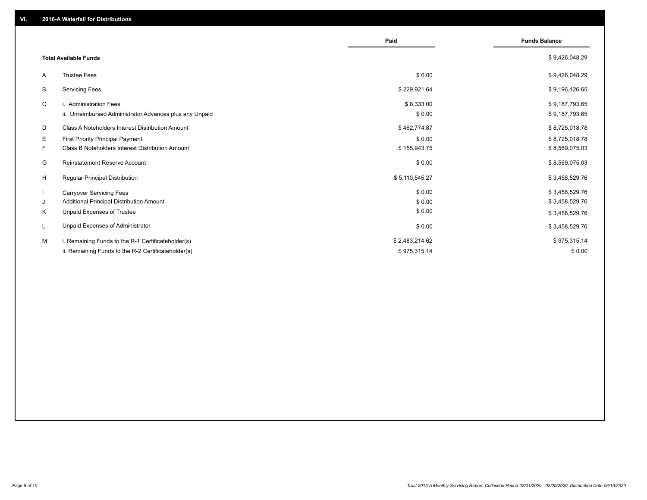|                                                               | Paid           | <b>Funds Balance</b> |
|---------------------------------------------------------------|----------------|----------------------|
| <b>Total Available Funds</b>                                  |                | \$9,426,048.29       |
| <b>Trustee Fees</b><br>A                                      | \$0.00         | \$9,426,048.29       |
| В<br><b>Servicing Fees</b>                                    | \$229,921.64   | \$9,196,126.65       |
| C<br>i. Administration Fees                                   | \$8,333.00     | \$9,187,793.65       |
| ii. Unreimbursed Administrator Advances plus any Unpaid       | \$0.00         | \$9,187,793.65       |
| Class A Noteholders Interest Distribution Amount<br>D         | \$462,774.87   | \$8,725,018.78       |
| E.<br><b>First Priority Principal Payment</b>                 | \$0.00         | \$8,725,018.78       |
| <b>Class B Noteholders Interest Distribution Amount</b><br>F. | \$155,943.75   | \$8,569,075.03       |
| <b>Reinstatement Reserve Account</b><br>G                     | \$0.00         | \$8,569,075.03       |
| H<br><b>Regular Principal Distribution</b>                    | \$5,110,545.27 | \$3,458,529.76       |
| $\mathbf{I}$<br><b>Carryover Servicing Fees</b>               | \$0.00         | \$3,458,529.76       |
| Additional Principal Distribution Amount<br>J                 | \$0.00         | \$3,458,529.76       |
| Κ<br>Unpaid Expenses of Trustee                               | \$0.00         | \$3,458,529.76       |
| Unpaid Expenses of Administrator<br>L                         | \$0.00         | \$3,458,529.76       |
| M<br>i. Remaining Funds to the R-1 Certificateholder(s)       | \$2,483,214.62 | \$975,315.14         |
| ii. Remaining Funds to the R-2 Certificateholder(s)           | \$975,315.14   | \$0.00               |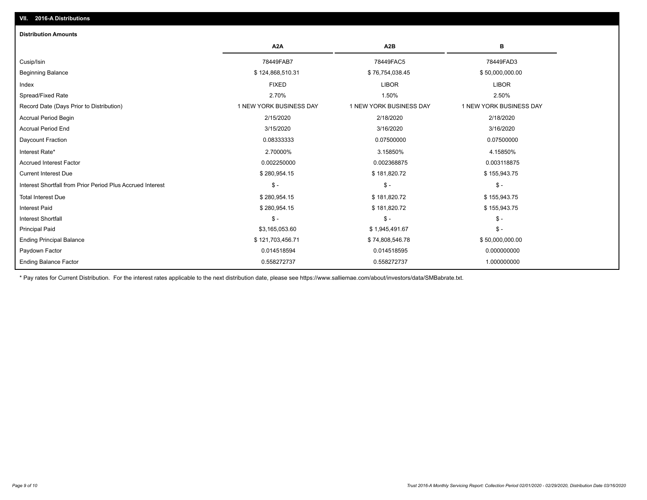## Ending Balance Factor Paydown Factor 0.014518594 0.014518595 0.000000000 Ending Principal Balance \$ 121,703,456.71 \$ \$ 74,808,546.78 \$ \$ \$ \$ \$ \$ 50,000,000.00 Principal Paid \$3,165,053.60 \$ 1,945,491.67 \$ - Interest Shortfall \$ - \$ - \$ - Interest Paid \$ 280,954.15 \$ 181,820.72 \$ 155,943.75 Total Interest Due \$155,943.75 \$ 181,820.72 \$ 181,820.72 \$ 181,820.72 \$ 181,820.72 Interest Shortfall from Prior Period Plus Accrued Interest \$ - \$ - \$ - Current Interest Due \$ 280,954.15 \$ 181,820.72 \$ 155,943.75 Accrued Interest Factor 0.002250000 0.002368875 0.003118875 Interest Rate\* 2.70000% 3.15850% 4.15850% Daycount Fraction 0.08333333 0.07500000 0.07500000 Accrual Period End 3/15/2020 3/16/2020 3/16/2020 Accrual Period Begin 2/15/2020 2/18/2020 2/18/2020 Record Date (Days Prior to Distribution) 1 1 NEW YORK BUSINESS DAY 1 NEW YORK BUSINESS DAY 1 NEW YORK BUSINESS DAY Spread/Fixed Rate 2.70% 1.50% 2.50% Index FIXED LIBOR LIBOR Beginning Balance \$ 124,868,510.31 \$ 76,754,038.45 \$ 50,000,000.00 Cusip/Isin 78449FAB7 78449FAC5 78449FAD3 **A2A A2B B** 0.558272737 0.558272737 1.000000000 **Distribution Amounts**

\* Pay rates for Current Distribution. For the interest rates applicable to the next distribution date, please see https://www.salliemae.com/about/investors/data/SMBabrate.txt.

**VII. 2016-A Distributions**